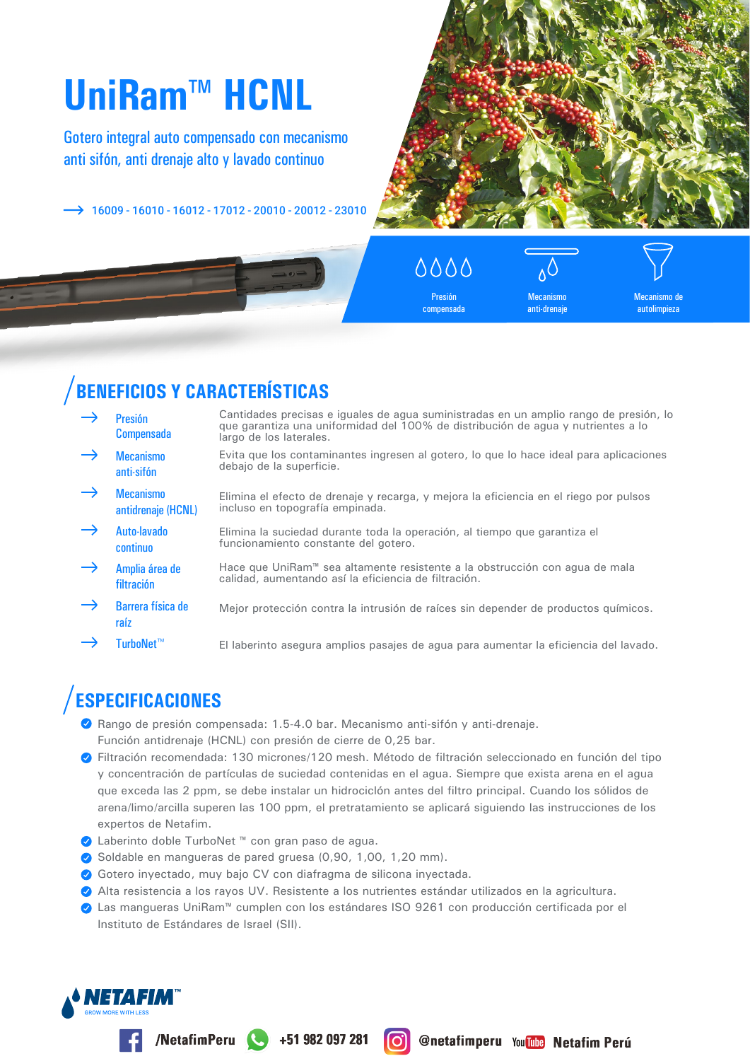# UniRam™ HCNL

Gotero integral auto compensado con mecanismo anti sifón, anti drenaje alto y lavado continuo

 $\rightarrow$  16009 - 16010 - 16012 - 17012 - 20010 - 20012 - 23010



 $\triangle$  $\triangle$  $\triangle$  $\triangle$ Presión compensada

anti-drenaje

Mecanismo de autolimpieza

## **BENEFICIOS Y CARACTERÍSTICAS**

- Cantidades precisas e iguales de agua suministradas en un amplio rango de presión, lo **Presión** que garantiza una uniformidad del 100% de distribución de agua y nutrientes a lo **Compensada** largo de los laterales.
- Evita que los contaminantes ingresen al gotero, lo que lo hace ideal para aplicaciones **Mecanismo** debajo de la superficie. anti-sifón
- **Mecanismo** Elimina el efecto de drenaje y recarga, y mejora la eficiencia en el riego por pulsos antidrenaje (HCNL) incluso en topografía empinada.
- Auto-lavado Elimina la suciedad durante toda la operación, al tiempo que garantiza el funcionamiento constante del gotero. continuo
- Hace que UniRam<sup>™</sup> sea altamente resistente a la obstrucción con agua de mala Amplia área de calidad, aumentando así la eficiencia de filtración. filtración
- Barrera física de Mejor protección contra la intrusión de raíces sin depender de productos químicos. raíz
- TurhoNet™ El laberinto asegura amplios pasajes de agua para aumentar la eficiencia del lavado.

### **ESPECIFICACIONES**

- Rango de presión compensada: 1.5-4.0 bar. Mecanismo anti-sifón y anti-drenaje. Función antidrenaje (HCNL) con presión de cierre de 0,25 bar.
- Filtración recomendada: 130 micrones/120 mesh. Método de filtración seleccionado en función del tipo y concentración de partículas de suciedad contenidas en el agua. Siempre que exista arena en el agua que exceda las 2 ppm, se debe instalar un hidrociclón antes del filtro principal. Cuando los sólidos de arena/limo/arcilla superen las 100 ppm, el pretratamiento se aplicará siguiendo las instrucciones de los expertos de Netafim.
- O Laberinto doble TurboNet ™ con gran paso de agua.
- $\bullet$  Soldable en mangueras de pared gruesa (0,90, 1,00, 1,20 mm).

/NetafimPeru +51 982 097 281

- ◆ Gotero inyectado, muy bajo CV con diafragma de silicona inyectada.
- Alta resistencia a los rayos UV. Resistente a los nutrientes estándar utilizados en la agricultura.
- Ø Las mangueras UniRam<sup>™</sup> cumplen con los estándares ISO 9261 con producción certificada por el Instituto de Estándares de Israel (SII).

**6** @netafimperu You **Tube** Netafim Perú